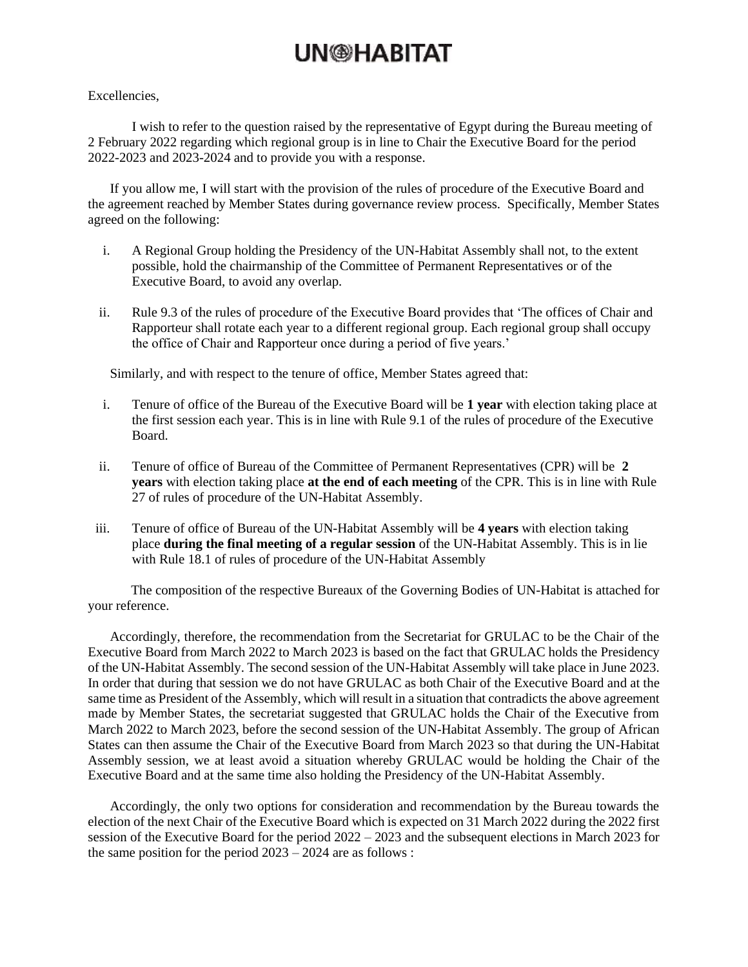## **UN<sup>®</sup>HABITAT**

#### Excellencies,

I wish to refer to the question raised by the representative of Egypt during the Bureau meeting of 2 February 2022 regarding which regional group is in line to Chair the Executive Board for the period 2022-2023 and 2023-2024 and to provide you with a response.

If you allow me, I will start with the provision of the rules of procedure of the Executive Board and the agreement reached by Member States during governance review process. Specifically, Member States agreed on the following:

- i. A Regional Group holding the Presidency of the UN-Habitat Assembly shall not, to the extent possible, hold the chairmanship of the Committee of Permanent Representatives or of the Executive Board, to avoid any overlap.
- ii. Rule 9.3 of the rules of procedure of the Executive Board provides that 'The offices of Chair and Rapporteur shall rotate each year to a different regional group. Each regional group shall occupy the office of Chair and Rapporteur once during a period of five years.'

Similarly, and with respect to the tenure of office, Member States agreed that:

- i. Tenure of office of the Bureau of the Executive Board will be **1 year** with election taking place at the first session each year. This is in line with Rule 9.1 of the rules of procedure of the Executive Board.
- ii. Tenure of office of Bureau of the Committee of Permanent Representatives (CPR) will be **2 years** with election taking place **at the end of each meeting** of the CPR. This is in line with Rule 27 of rules of procedure of the UN-Habitat Assembly.
- iii. Tenure of office of Bureau of the UN-Habitat Assembly will be **4 years** with election taking place **during the final meeting of a regular session** of the UN-Habitat Assembly. This is in lie with Rule 18.1 of rules of procedure of the UN-Habitat Assembly

The composition of the respective Bureaux of the Governing Bodies of UN-Habitat is attached for your reference.

Accordingly, therefore, the recommendation from the Secretariat for GRULAC to be the Chair of the Executive Board from March 2022 to March 2023 is based on the fact that GRULAC holds the Presidency of the UN-Habitat Assembly. The second session of the UN-Habitat Assembly will take place in June 2023. In order that during that session we do not have GRULAC as both Chair of the Executive Board and at the same time as President of the Assembly, which will result in a situation that contradicts the above agreement made by Member States, the secretariat suggested that GRULAC holds the Chair of the Executive from March 2022 to March 2023, before the second session of the UN-Habitat Assembly. The group of African States can then assume the Chair of the Executive Board from March 2023 so that during the UN-Habitat Assembly session, we at least avoid a situation whereby GRULAC would be holding the Chair of the Executive Board and at the same time also holding the Presidency of the UN-Habitat Assembly.

Accordingly, the only two options for consideration and recommendation by the Bureau towards the election of the next Chair of the Executive Board which is expected on 31 March 2022 during the 2022 first session of the Executive Board for the period 2022 – 2023 and the subsequent elections in March 2023 for the same position for the period 2023 – 2024 are as follows :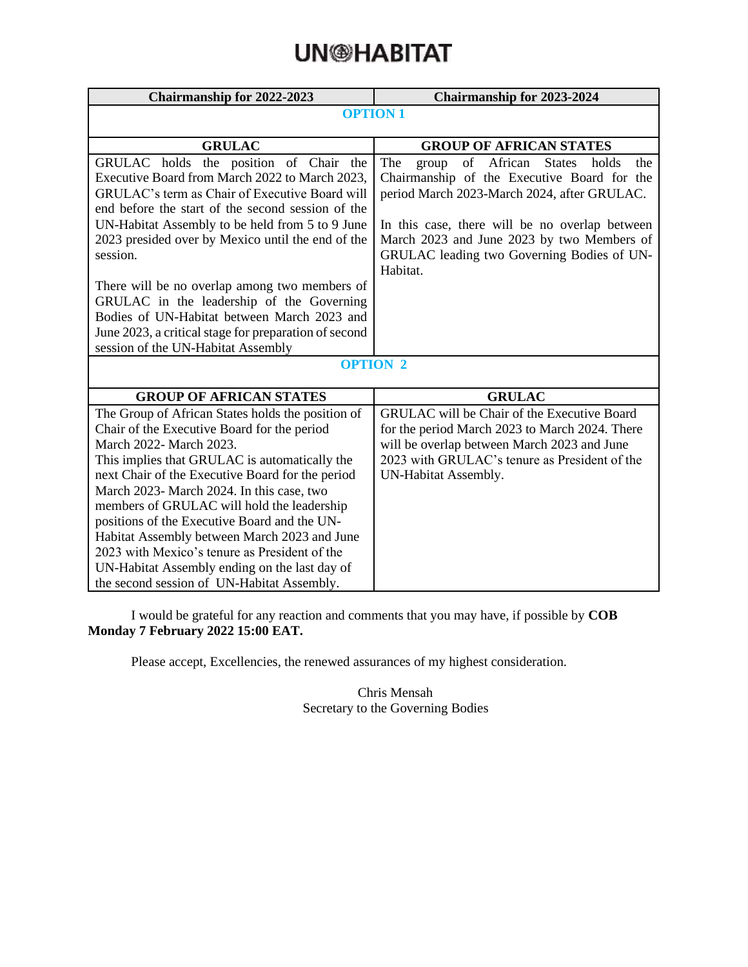# **UN<sup>®</sup>HABITAT**

| <b>Chairmanship for 2022-2023</b>                                                        | <b>Chairmanship for 2023-2024</b>                           |  |  |
|------------------------------------------------------------------------------------------|-------------------------------------------------------------|--|--|
|                                                                                          | <b>OPTION1</b>                                              |  |  |
|                                                                                          |                                                             |  |  |
| <b>GRULAC</b>                                                                            | <b>GROUP OF AFRICAN STATES</b>                              |  |  |
| GRULAC holds the position of Chair<br>the                                                | of African<br>The<br><b>States</b><br>holds<br>group<br>the |  |  |
| Executive Board from March 2022 to March 2023,                                           | Chairmanship of the Executive Board for the                 |  |  |
| GRULAC's term as Chair of Executive Board will                                           | period March 2023-March 2024, after GRULAC.                 |  |  |
| end before the start of the second session of the                                        |                                                             |  |  |
| UN-Habitat Assembly to be held from 5 to 9 June                                          | In this case, there will be no overlap between              |  |  |
| 2023 presided over by Mexico until the end of the                                        | March 2023 and June 2023 by two Members of                  |  |  |
| session.                                                                                 | GRULAC leading two Governing Bodies of UN-                  |  |  |
|                                                                                          | Habitat.                                                    |  |  |
| There will be no overlap among two members of                                            |                                                             |  |  |
| GRULAC in the leadership of the Governing<br>Bodies of UN-Habitat between March 2023 and |                                                             |  |  |
| June 2023, a critical stage for preparation of second                                    |                                                             |  |  |
| session of the UN-Habitat Assembly                                                       |                                                             |  |  |
|                                                                                          | <b>OPTION 2</b>                                             |  |  |
|                                                                                          |                                                             |  |  |
| <b>GROUP OF AFRICAN STATES</b>                                                           | <b>GRULAC</b>                                               |  |  |
| The Group of African States holds the position of                                        | <b>GRULAC</b> will be Chair of the Executive Board          |  |  |
| Chair of the Executive Board for the period                                              | for the period March 2023 to March 2024. There              |  |  |
| March 2022- March 2023.                                                                  | will be overlap between March 2023 and June                 |  |  |
| This implies that GRULAC is automatically the                                            | 2023 with GRULAC's tenure as President of the               |  |  |
| next Chair of the Executive Board for the period                                         | UN-Habitat Assembly.                                        |  |  |
| March 2023- March 2024. In this case, two                                                |                                                             |  |  |
| members of GRULAC will hold the leadership                                               |                                                             |  |  |
| positions of the Executive Board and the UN-                                             |                                                             |  |  |
| Habitat Assembly between March 2023 and June                                             |                                                             |  |  |
| 2023 with Mexico's tenure as President of the                                            |                                                             |  |  |
| UN-Habitat Assembly ending on the last day of                                            |                                                             |  |  |
| the second session of UN-Habitat Assembly.                                               |                                                             |  |  |

I would be grateful for any reaction and comments that you may have, if possible by **COB Monday 7 February 2022 15:00 EAT.**

Please accept, Excellencies, the renewed assurances of my highest consideration.

Chris Mensah Secretary to the Governing Bodies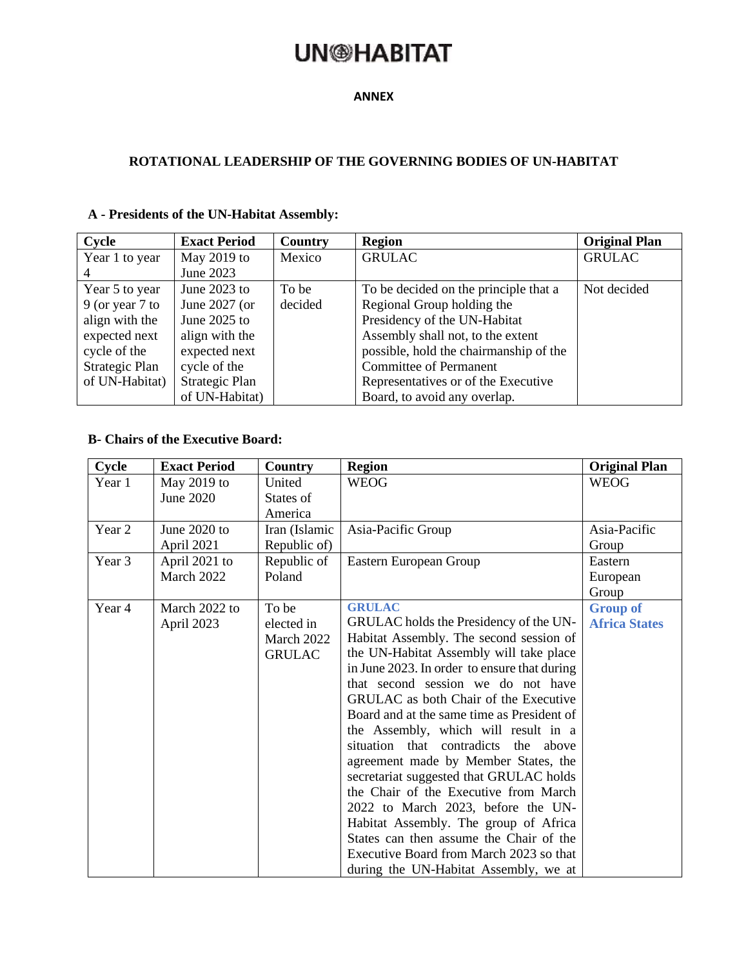## **UN**@HABITAT

#### **ANNEX**

#### **ROTATIONAL LEADERSHIP OF THE GOVERNING BODIES OF UN-HABITAT**

| Cycle             | <b>Exact Period</b> | Country | <b>Region</b>                          | <b>Original Plan</b> |
|-------------------|---------------------|---------|----------------------------------------|----------------------|
| Year 1 to year    | May 2019 to         | Mexico  | <b>GRULAC</b>                          | <b>GRULAC</b>        |
|                   | June 2023           |         |                                        |                      |
| Year 5 to year    | June $2023$ to      | To be   | To be decided on the principle that a  | Not decided          |
| $9$ (or year 7 to | June $2027$ (or     | decided | Regional Group holding the             |                      |
| align with the    | June 2025 to        |         | Presidency of the UN-Habitat           |                      |
| expected next     | align with the      |         | Assembly shall not, to the extent      |                      |
| cycle of the      | expected next       |         | possible, hold the chairmanship of the |                      |
| Strategic Plan    | cycle of the        |         | <b>Committee of Permanent</b>          |                      |
| of UN-Habitat)    | Strategic Plan      |         | Representatives or of the Executive    |                      |
|                   | of UN-Habitat)      |         | Board, to avoid any overlap.           |                      |

#### **A - Presidents of the UN-Habitat Assembly:**

#### **B- Chairs of the Executive Board:**

| Cycle  | <b>Exact Period</b>         | Country                                            | <b>Region</b>                                                                                                                                                                                                                                                                                                                                                                                                                                                                                                                                                                                                                                                                                                                                               | <b>Original Plan</b>                    |
|--------|-----------------------------|----------------------------------------------------|-------------------------------------------------------------------------------------------------------------------------------------------------------------------------------------------------------------------------------------------------------------------------------------------------------------------------------------------------------------------------------------------------------------------------------------------------------------------------------------------------------------------------------------------------------------------------------------------------------------------------------------------------------------------------------------------------------------------------------------------------------------|-----------------------------------------|
| Year 1 | May 2019 to<br>June 2020    | United<br>States of<br>America                     | <b>WEOG</b>                                                                                                                                                                                                                                                                                                                                                                                                                                                                                                                                                                                                                                                                                                                                                 | <b>WEOG</b>                             |
| Year 2 | June 2020 to<br>April 2021  | Iran (Islamic<br>Republic of)                      | Asia-Pacific Group                                                                                                                                                                                                                                                                                                                                                                                                                                                                                                                                                                                                                                                                                                                                          | Asia-Pacific<br>Group                   |
| Year 3 | April 2021 to<br>March 2022 | Republic of<br>Poland                              | Eastern European Group                                                                                                                                                                                                                                                                                                                                                                                                                                                                                                                                                                                                                                                                                                                                      | Eastern<br>European<br>Group            |
| Year 4 | March 2022 to<br>April 2023 | To be<br>elected in<br>March 2022<br><b>GRULAC</b> | <b>GRULAC</b><br>GRULAC holds the Presidency of the UN-<br>Habitat Assembly. The second session of<br>the UN-Habitat Assembly will take place<br>in June 2023. In order to ensure that during<br>that second session we do not have<br><b>GRULAC</b> as both Chair of the Executive<br>Board and at the same time as President of<br>the Assembly, which will result in a<br>situation that contradicts the above<br>agreement made by Member States, the<br>secretariat suggested that GRULAC holds<br>the Chair of the Executive from March<br>2022 to March 2023, before the UN-<br>Habitat Assembly. The group of Africa<br>States can then assume the Chair of the<br>Executive Board from March 2023 so that<br>during the UN-Habitat Assembly, we at | <b>Group of</b><br><b>Africa States</b> |